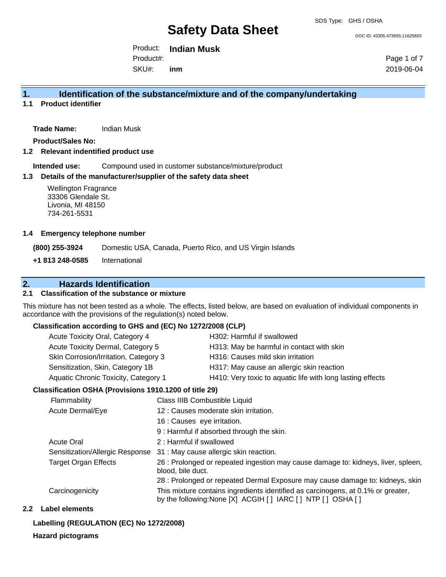DOC ID: 43305.473655.11625683

Product: **Indian Musk**  Product#:

SKU#: **inm** Page 1 of 7 2019-06-04

## **1. Identification of the substance/mixture and of the company/undertaking**

**1.1 Product identifier**

**Trade Name:** Indian Musk

**Product/Sales No:**

**1.2 Relevant indentified product use**

**Intended use:** Compound used in customer substance/mixture/product

#### **1.3 Details of the manufacturer/supplier of the safety data sheet**

Wellington Fragrance 33306 Glendale St. Livonia, MI 48150 734-261-5531

#### **1.4 Emergency telephone number**

**(800) 255-3924** Domestic USA, Canada, Puerto Rico, and US Virgin Islands

**+1 813 248-0585** International

# **2. Hazards Identification**

### **2.1 Classification of the substance or mixture**

This mixture has not been tested as a whole. The effects, listed below, are based on evaluation of individual components in accordance with the provisions of the regulation(s) noted below.

### **Classification according to GHS and (EC) No 1272/2008 (CLP)**

| Acute Toxicity Oral, Category 4       | H302: Harmful if swallowed                                 |
|---------------------------------------|------------------------------------------------------------|
| Acute Toxicity Dermal, Category 5     | H313: May be harmful in contact with skin                  |
| Skin Corrosion/Irritation, Category 3 | H316: Causes mild skin irritation                          |
| Sensitization, Skin, Category 1B      | H317: May cause an allergic skin reaction                  |
| Aquatic Chronic Toxicity, Category 1  | H410: Very toxic to aquatic life with long lasting effects |
|                                       |                                                            |

#### **Classification OSHA (Provisions 1910.1200 of title 29)**

| <b>Flammability</b>             | Class IIIB Combustible Liquid                                                                                                                  |
|---------------------------------|------------------------------------------------------------------------------------------------------------------------------------------------|
| Acute Dermal/Eye                | 12 : Causes moderate skin irritation.                                                                                                          |
|                                 | 16 : Causes eye irritation.                                                                                                                    |
|                                 | 9 : Harmful if absorbed through the skin.                                                                                                      |
| <b>Acute Oral</b>               | 2 : Harmful if swallowed                                                                                                                       |
| Sensitization/Allergic Response | 31 : May cause allergic skin reaction.                                                                                                         |
| <b>Target Organ Effects</b>     | 26 : Prolonged or repeated ingestion may cause damage to: kidneys, liver, spleen,<br>blood, bile duct.                                         |
|                                 | 28 : Prolonged or repeated Dermal Exposure may cause damage to: kidneys, skin                                                                  |
| Carcinogenicity                 | This mixture contains ingredients identified as carcinogens, at 0.1% or greater,<br>by the following: None [X] ACGIH [] IARC [] NTP [] OSHA [] |

## **2.2 Label elements**

# **Labelling (REGULATION (EC) No 1272/2008)**

# **Hazard pictograms**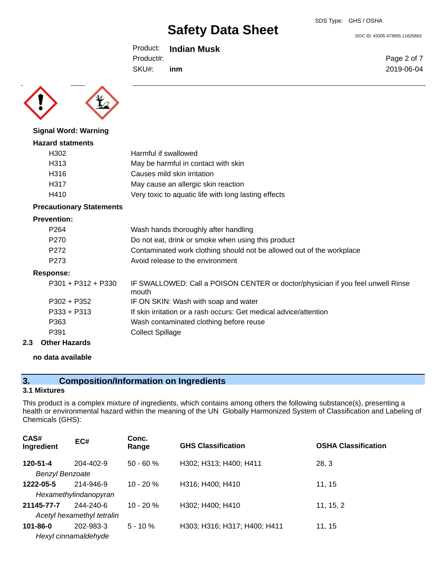DOC ID: 43305.473655.11625683

Product: **Indian Musk**  Product#:

SKU#: **inm** Page 2 of 7 2019-06-04



**Signal Word: Warning**

# **Hazard statments** H302 Harmful if swallowed H313 May be harmful in contact with skin H316 Causes mild skin irritation H317 May cause an allergic skin reaction H410 Very toxic to aquatic life with long lasting effects

## **Precautionary Statements**

#### **Prevention:**

| P <sub>264</sub>     | Wash hands thoroughly after handling                                                     |
|----------------------|------------------------------------------------------------------------------------------|
| P <sub>270</sub>     | Do not eat, drink or smoke when using this product                                       |
| P272                 | Contaminated work clothing should not be allowed out of the workplace                    |
| P <sub>273</sub>     | Avoid release to the environment                                                         |
| Response:            |                                                                                          |
| $P301 + P312 + P330$ | IF SWALLOWED: Call a POISON CENTER or doctor/physician if you feel unwell Rinse<br>mouth |
| $P302 + P352$        | IF ON SKIN: Wash with soap and water                                                     |
| $P333 + P313$        | If skin irritation or a rash occurs: Get medical advice/attention                        |
| P363                 | Wash contaminated clothing before reuse                                                  |
| P391                 | <b>Collect Spillage</b>                                                                  |
|                      |                                                                                          |

### **2.3 Other Hazards**

**no data available**

# **3. Composition/Information on Ingredients**

# **3.1 Mixtures**

This product is a complex mixture of ingredients, which contains among others the following substance(s), presenting a health or environmental hazard within the meaning of the UN Globally Harmonized System of Classification and Labeling of Chemicals (GHS):

| CAS#<br>Ingredient     | EC#                        | Conc.<br>Range | <b>GHS Classification</b>    | <b>OSHA Classification</b> |
|------------------------|----------------------------|----------------|------------------------------|----------------------------|
| 120-51-4               | 204-402-9                  | $50 - 60 \%$   | H302; H313; H400; H411       | 28, 3                      |
| <b>Benzyl Benzoate</b> |                            |                |                              |                            |
| 1222-05-5              | 214-946-9                  | $10 - 20 \%$   | H316; H400; H410             | 11, 15                     |
|                        | Hexamethylindanopyran      |                |                              |                            |
| 21145-77-7             | 244-240-6                  | $10 - 20%$     | H302; H400; H410             | 11, 15, 2                  |
|                        | Acetyl hexamethyl tetralin |                |                              |                            |
| $101 - 86 - 0$         | 202-983-3                  | $5 - 10 \%$    | H303; H316; H317; H400; H411 | 11, 15                     |
|                        | Hexyl cinnamaldehyde       |                |                              |                            |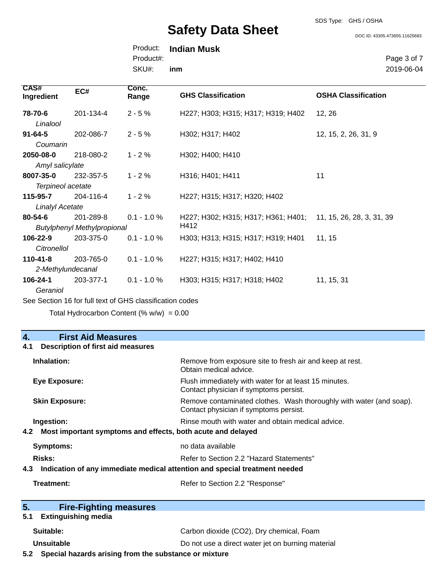SDS Type: GHS / OSHA

DOC ID: 43305.473655.11625683

Product: **Indian Musk**  SKU#: Product#: **inm**

Page 3 of 7 2019-06-04

| <b>CAS#</b><br>Ingredient | EC#                                | Conc.<br>Range                                           | <b>GHS Classification</b>           | <b>OSHA Classification</b> |
|---------------------------|------------------------------------|----------------------------------------------------------|-------------------------------------|----------------------------|
| 78-70-6                   | 201-134-4                          | $2 - 5%$                                                 | H227; H303; H315; H317; H319; H402  | 12, 26                     |
| Linalool                  |                                    |                                                          |                                     |                            |
| $91 - 64 - 5$             | 202-086-7                          | $2 - 5%$                                                 | H302; H317; H402                    | 12, 15, 2, 26, 31, 9       |
| Coumarin                  |                                    |                                                          |                                     |                            |
| 2050-08-0                 | 218-080-2                          | $1 - 2%$                                                 | H302; H400; H410                    |                            |
| Amyl salicylate           |                                    |                                                          |                                     |                            |
| 8007-35-0                 | 232-357-5                          | $1 - 2%$                                                 | H316; H401; H411                    | 11                         |
| Terpineol acetate         |                                    |                                                          |                                     |                            |
| 115-95-7                  | 204-116-4                          | $1 - 2%$                                                 | H227; H315; H317; H320; H402        |                            |
| <b>Linalyl Acetate</b>    |                                    |                                                          |                                     |                            |
| 80-54-6                   | 201-289-8                          | $0.1 - 1.0 %$                                            | H227; H302; H315; H317; H361; H401; | 11, 15, 26, 28, 3, 31, 39  |
|                           | <b>Butylphenyl Methylpropional</b> |                                                          | H412                                |                            |
| 106-22-9                  | 203-375-0                          | $0.1 - 1.0 %$                                            | H303; H313; H315; H317; H319; H401  | 11, 15                     |
| Citronellol               |                                    |                                                          |                                     |                            |
| $110 - 41 - 8$            | 203-765-0                          | $0.1 - 1.0 %$                                            | H227; H315; H317; H402; H410        |                            |
|                           | 2-Methylundecanal                  |                                                          |                                     |                            |
| 106-24-1                  | 203-377-1                          | $0.1 - 1.0 %$                                            | H303; H315; H317; H318; H402        | 11, 15, 31                 |
| Geraniol                  |                                    |                                                          |                                     |                            |
|                           |                                    | See Section 16 for full text of GHS classification codes |                                     |                            |

Total Hydrocarbon Content (%  $w/w$ ) = 0.00

# **4. First Aid Measures**

# **4.1 Description of first aid measures**

| Remove from exposure site to fresh air and keep at rest.<br>Obtain medical advice.                                                   |  |
|--------------------------------------------------------------------------------------------------------------------------------------|--|
| Flush immediately with water for at least 15 minutes.<br>Contact physician if symptoms persist.                                      |  |
| Remove contaminated clothes. Wash thoroughly with water (and soap).<br>Contact physician if symptoms persist.                        |  |
| Rinse mouth with water and obtain medical advice.<br>Most important symptoms and effects, both acute and delayed                     |  |
| no data available                                                                                                                    |  |
| Risks:<br>Refer to Section 2.2 "Hazard Statements"<br>4.3 Indication of any immediate medical attention and special treatment needed |  |
| Refer to Section 2.2 "Response"                                                                                                      |  |
|                                                                                                                                      |  |

| 5.<br><b>Fire-Fighting measures</b>                          |                                                   |  |
|--------------------------------------------------------------|---------------------------------------------------|--|
| 5.1 Extinguishing media                                      |                                                   |  |
| Suitable:                                                    | Carbon dioxide (CO2), Dry chemical, Foam          |  |
| Unsuitable                                                   | Do not use a direct water jet on burning material |  |
| E 2. Choose hoperate original from the outpotence or mixture |                                                   |  |

**5.2 Special hazards arising from the substance or mixture**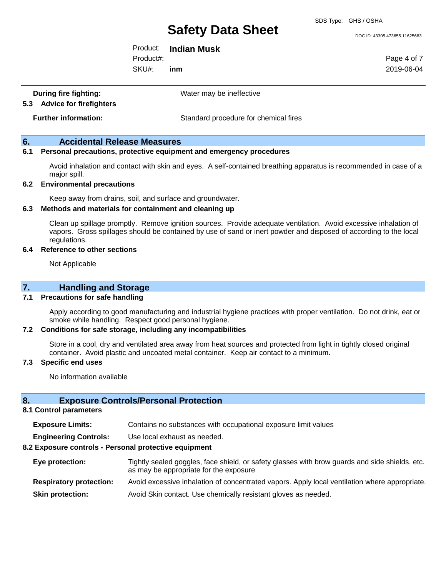SDS Type: GHS / OSHA

DOC ID: 43305.473655.11625683

Product: **Indian Musk**  Product#:

SKU#: **inm** Page 4 of 7 2019-06-04

| <b>During fire fighting:</b> |  |
|------------------------------|--|
| 5.3 Advice for firefighters  |  |

Water may be ineffective

**5.3 Advice for firefighters**

**Further information:** Standard procedure for chemical fires

# **6. Accidental Release Measures**

#### **6.1 Personal precautions, protective equipment and emergency procedures**

Avoid inhalation and contact with skin and eyes. A self-contained breathing apparatus is recommended in case of a major spill.

### **6.2 Environmental precautions**

Keep away from drains, soil, and surface and groundwater.

#### **6.3 Methods and materials for containment and cleaning up**

Clean up spillage promptly. Remove ignition sources. Provide adequate ventilation. Avoid excessive inhalation of vapors. Gross spillages should be contained by use of sand or inert powder and disposed of according to the local regulations.

#### **6.4 Reference to other sections**

Not Applicable

### **7. Handling and Storage**

### **7.1 Precautions for safe handling**

Apply according to good manufacturing and industrial hygiene practices with proper ventilation. Do not drink, eat or smoke while handling. Respect good personal hygiene.

### **7.2 Conditions for safe storage, including any incompatibilities**

Store in a cool, dry and ventilated area away from heat sources and protected from light in tightly closed original container. Avoid plastic and uncoated metal container. Keep air contact to a minimum.

#### **7.3 Specific end uses**

No information available

# **8. Exposure Controls/Personal Protection**

# **8.1 Control parameters**

**Exposure Limits:** Contains no substances with occupational exposure limit values

**Engineering Controls:** Use local exhaust as needed.

# **8.2 Exposure controls - Personal protective equipment**

- **Eye protection:** Tightly sealed goggles, face shield, or safety glasses with brow guards and side shields, etc. as may be appropriate for the exposure
- **Respiratory protection:** Avoid excessive inhalation of concentrated vapors. Apply local ventilation where appropriate. **Skin protection:** Avoid Skin contact. Use chemically resistant gloves as needed.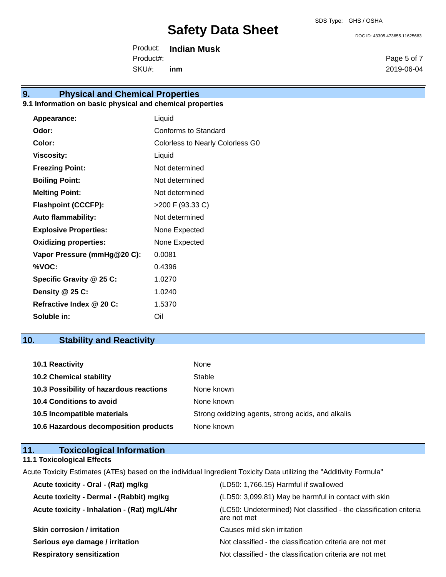DOC ID: 43305.473655.11625683

Product: **Indian Musk**  SKU#: Product#: **inm**

# **9. Physical and Chemical Properties**

# **9.1 Information on basic physical and chemical properties**

| Appearance:                  | Liquid                           |
|------------------------------|----------------------------------|
| Odor:                        | Conforms to Standard             |
| Color:                       | Colorless to Nearly Colorless G0 |
| <b>Viscosity:</b>            | Liquid                           |
| <b>Freezing Point:</b>       | Not determined                   |
| <b>Boiling Point:</b>        | Not determined                   |
| <b>Melting Point:</b>        | Not determined                   |
| <b>Flashpoint (CCCFP):</b>   | >200 F (93.33 C)                 |
| <b>Auto flammability:</b>    | Not determined                   |
| <b>Explosive Properties:</b> | None Expected                    |
| <b>Oxidizing properties:</b> | None Expected                    |
| Vapor Pressure (mmHg@20 C):  | 0.0081                           |
| %VOC:                        | 0.4396                           |
| Specific Gravity @ 25 C:     | 1.0270                           |
| Density @ 25 C:              | 1.0240                           |
| Refractive Index @ 20 C:     | 1.5370                           |
| Soluble in:                  | Oil                              |

# **10. Stability and Reactivity**

| 10.1 Reactivity                         | None                                               |
|-----------------------------------------|----------------------------------------------------|
| <b>10.2 Chemical stability</b>          | Stable                                             |
| 10.3 Possibility of hazardous reactions | None known                                         |
| <b>10.4 Conditions to avoid</b>         | None known                                         |
| 10.5 Incompatible materials             | Strong oxidizing agents, strong acids, and alkalis |
| 10.6 Hazardous decomposition products   | None known                                         |

| <b>Toxicological Information</b><br>11.                                                                             |                                                                                  |
|---------------------------------------------------------------------------------------------------------------------|----------------------------------------------------------------------------------|
| <b>11.1 Toxicological Effects</b>                                                                                   |                                                                                  |
| Acute Toxicity Estimates (ATEs) based on the individual Ingredient Toxicity Data utilizing the "Additivity Formula" |                                                                                  |
| Acute toxicity - Oral - (Rat) mg/kg                                                                                 | (LD50: 1,766.15) Harmful if swallowed                                            |
| Acute toxicity - Dermal - (Rabbit) mg/kg                                                                            | (LD50: 3,099.81) May be harmful in contact with skin                             |
| Acute toxicity - Inhalation - (Rat) mg/L/4hr                                                                        | (LC50: Undetermined) Not classified - the classification criteria<br>are not met |
| <b>Skin corrosion / irritation</b>                                                                                  | Causes mild skin irritation                                                      |
| Serious eye damage / irritation                                                                                     | Not classified - the classification criteria are not met                         |
| <b>Respiratory sensitization</b>                                                                                    | Not classified - the classification criteria are not met                         |

Page 5 of 7 2019-06-04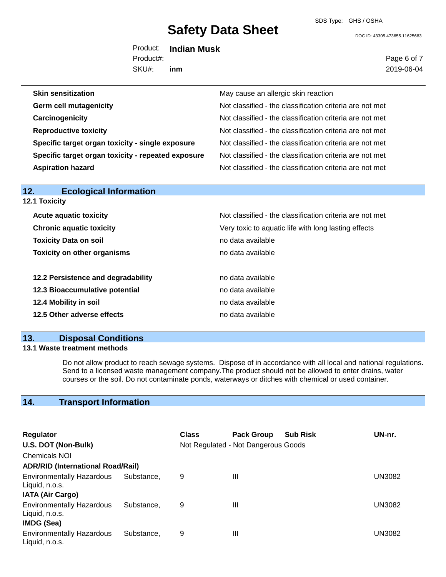DOC ID: 43305.473655.11625683

Product: **Indian Musk**  SKU#: Product#: **inm**

Page 6 of 7 2019-06-04

| <b>Skin sensitization</b>                          | May cause an allergic skin reaction                      |
|----------------------------------------------------|----------------------------------------------------------|
| <b>Germ cell mutagenicity</b>                      | Not classified - the classification criteria are not met |
| Carcinogenicity                                    | Not classified - the classification criteria are not met |
| <b>Reproductive toxicity</b>                       | Not classified - the classification criteria are not met |
| Specific target organ toxicity - single exposure   | Not classified - the classification criteria are not met |
| Specific target organ toxicity - repeated exposure | Not classified - the classification criteria are not met |
| <b>Aspiration hazard</b>                           | Not classified - the classification criteria are not met |

| 12.<br><b>Ecological Information</b> |                                                          |
|--------------------------------------|----------------------------------------------------------|
| <b>12.1 Toxicity</b>                 |                                                          |
| <b>Acute aquatic toxicity</b>        | Not classified - the classification criteria are not met |
| <b>Chronic aquatic toxicity</b>      | Very toxic to aquatic life with long lasting effects     |
| <b>Toxicity Data on soil</b>         | no data available                                        |
| <b>Toxicity on other organisms</b>   | no data available                                        |
| 12.2 Persistence and degradability   | no data available                                        |
| 12.3 Bioaccumulative potential       | no data available                                        |
| 12.4 Mobility in soil                | no data available                                        |
| 12.5 Other adverse effects           | no data available                                        |

# **13. Disposal Conditions**

## **13.1 Waste treatment methods**

Do not allow product to reach sewage systems. Dispose of in accordance with all local and national regulations. Send to a licensed waste management company.The product should not be allowed to enter drains, water courses or the soil. Do not contaminate ponds, waterways or ditches with chemical or used container.

# **14. Transport Information**

| <b>Regulator</b>                                                        |            | Class | <b>Pack Group</b>                   | <b>Sub Risk</b> | UN-nr.        |
|-------------------------------------------------------------------------|------------|-------|-------------------------------------|-----------------|---------------|
| U.S. DOT (Non-Bulk)                                                     |            |       | Not Regulated - Not Dangerous Goods |                 |               |
| <b>Chemicals NOI</b>                                                    |            |       |                                     |                 |               |
| <b>ADR/RID (International Road/Rail)</b>                                |            |       |                                     |                 |               |
| <b>Environmentally Hazardous</b><br>Liquid, n.o.s.                      | Substance. | 9     | Ш                                   |                 | <b>UN3082</b> |
| <b>IATA (Air Cargo)</b>                                                 |            |       |                                     |                 |               |
| <b>Environmentally Hazardous</b><br>Liquid, n.o.s.<br><b>IMDG (Sea)</b> | Substance. | 9     | Ш                                   |                 | <b>UN3082</b> |
| <b>Environmentally Hazardous</b><br>Liquid, n.o.s.                      | Substance, | 9     | Ш                                   |                 | UN3082        |